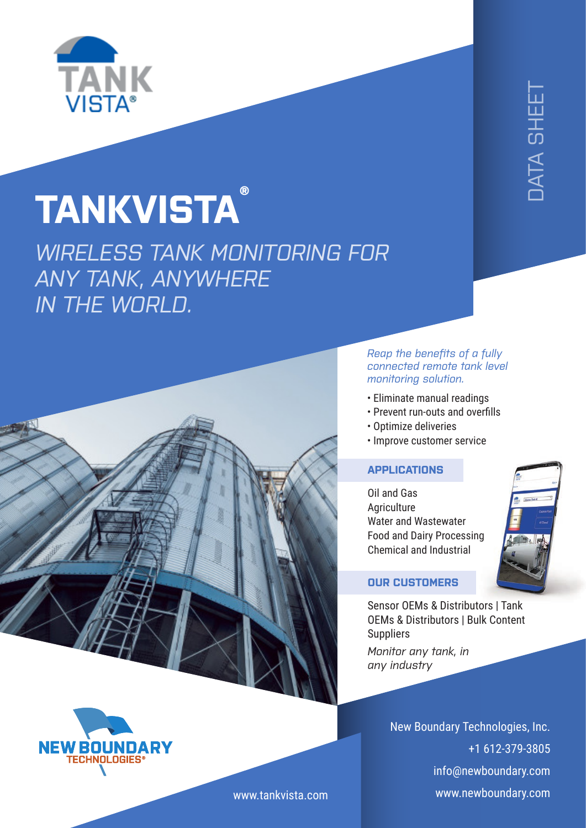

## **TANKVISTA ®**

*WIRELESS TANK MONITORING FOR ANY TANK, ANYWHERE IN THE WORLD.*



*Reap the benefits of a fully connected remote tank level monitoring solution.*

- Eliminate manual readings
- Prevent run-outs and overfills
- Optimize deliveries
- Improve customer service

## **APPLICATIONS**

Oil and Gas **Agriculture** Water and Wastewater Food and Dairy Processing Chemical and Industrial



## **OUR CUSTOMERS**

Sensor OEMs & Distributors | Tank OEMs & Distributors | Bulk Content **Suppliers** 

*Monitor any tank, in any industry*

> New Boundary Technologies, Inc. +1 612-379-3805 info@newboundary.com [www.newboundary.com](https://www.newboundary.com/)



[www.tankvista.com](http://www.tankvista.com/)